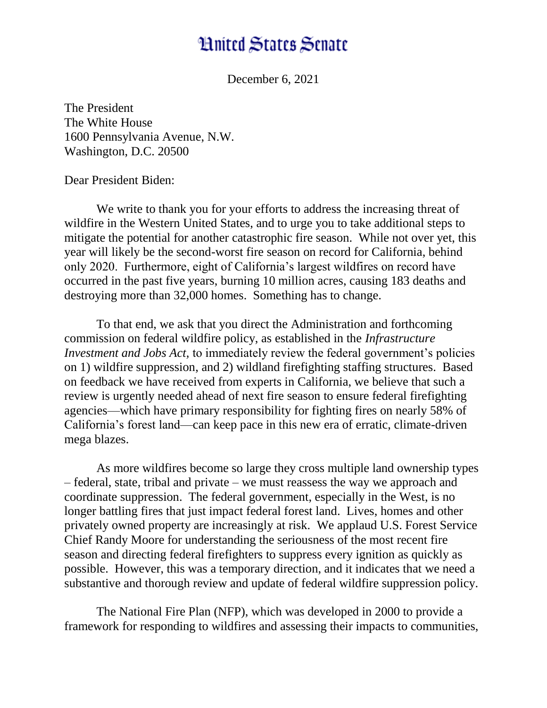## **Hnited States Senate**

December 6, 2021

The President The White House 1600 Pennsylvania Avenue, N.W. Washington, D.C. 20500

Dear President Biden:

We write to thank you for your efforts to address the increasing threat of wildfire in the Western United States, and to urge you to take additional steps to mitigate the potential for another catastrophic fire season. While not over yet, this year will likely be the second-worst fire season on record for California, behind only 2020. Furthermore, eight of California's largest wildfires on record have occurred in the past five years, burning 10 million acres, causing 183 deaths and destroying more than 32,000 homes. Something has to change.

To that end, we ask that you direct the Administration and forthcoming commission on federal wildfire policy, as established in the *Infrastructure Investment and Jobs Act,* to immediately review the federal government's policies on 1) wildfire suppression, and 2) wildland firefighting staffing structures. Based on feedback we have received from experts in California, we believe that such a review is urgently needed ahead of next fire season to ensure federal firefighting agencies—which have primary responsibility for fighting fires on nearly 58% of California's forest land—can keep pace in this new era of erratic, climate-driven mega blazes.

As more wildfires become so large they cross multiple land ownership types – federal, state, tribal and private – we must reassess the way we approach and coordinate suppression. The federal government, especially in the West, is no longer battling fires that just impact federal forest land. Lives, homes and other privately owned property are increasingly at risk.We applaud U.S. Forest Service Chief Randy Moore for understanding the seriousness of the most recent fire season and directing federal firefighters to suppress every ignition as quickly as possible. However, this was a temporary direction, and it indicates that we need a substantive and thorough review and update of federal wildfire suppression policy.

The National Fire Plan (NFP), which was developed in 2000 to provide a framework for responding to wildfires and assessing their impacts to communities,